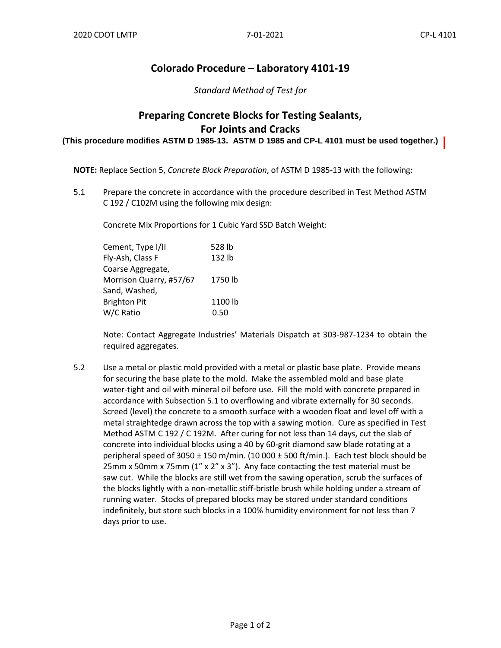## **Colorado Procedure – Laboratory 4101-19**

*Standard Method of Test for*

## **Preparing Concrete Blocks for Testing Sealants, For Joints and Cracks**

**(This procedure modifies ASTM D 1985-13. ASTM D 1985 and CP-L 4101 must be used together.)**

**NOTE:** Replace Section 5, *Concrete Block Preparation*, of ASTM D 1985-13 with the following:

5.1 Prepare the concrete in accordance with the procedure described in Test Method ASTM C 192 / C102M using the following mix design:

Concrete Mix Proportions for 1 Cubic Yard SSD Batch Weight:

| Cement, Type I/II       | 528 lb  |
|-------------------------|---------|
| Fly-Ash, Class F        | 132 lb  |
| Coarse Aggregate,       |         |
| Morrison Quarry, #57/67 | 1750 lb |
| Sand, Washed,           |         |
| <b>Brighton Pit</b>     | 1100 lb |
| W/C Ratio               | 0.50    |

Note: Contact Aggregate Industries' Materials Dispatch at 303-987-1234 to obtain the required aggregates.

5.2 Use a metal or plastic mold provided with a metal or plastic base plate. Provide means for securing the base plate to the mold. Make the assembled mold and base plate water-tight and oil with mineral oil before use. Fill the mold with concrete prepared in accordance with Subsection 5.1 to overflowing and vibrate externally for 30 seconds. Screed (level) the concrete to a smooth surface with a wooden float and level off with a metal straightedge drawn across the top with a sawing motion. Cure as specified in Test Method ASTM C 192 / C 192M. After curing for not less than 14 days, cut the slab of concrete into individual blocks using a 40 by 60-grit diamond saw blade rotating at a peripheral speed of  $3050 \pm 150$  m/min. (10 000  $\pm$  500 ft/min.). Each test block should be 25mm x 50mm x 75mm  $(1'' \times 2'' \times 3'')$ . Any face contacting the test material must be saw cut. While the blocks are still wet from the sawing operation, scrub the surfaces of the blocks lightly with a non-metallic stiff-bristle brush while holding under a stream of running water. Stocks of prepared blocks may be stored under standard conditions indefinitely, but store such blocks in a 100% humidity environment for not less than 7 days prior to use.